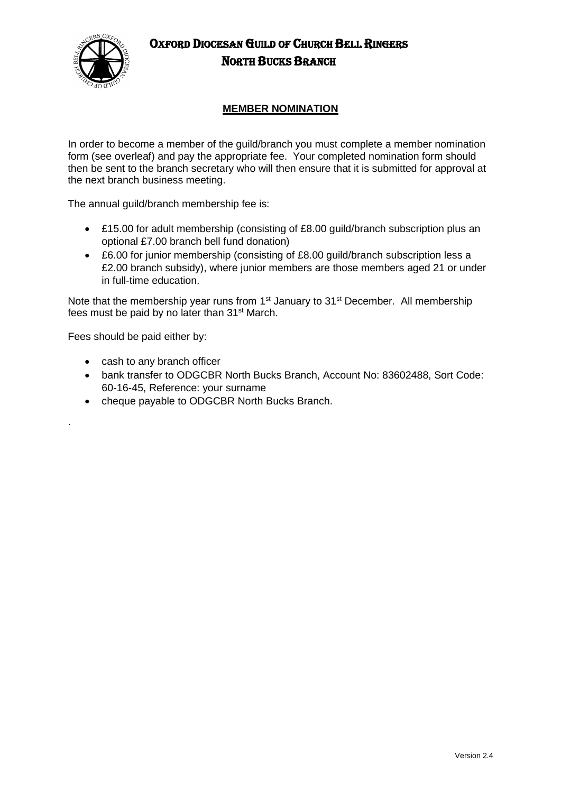

## OXFORD DIOCESAN GUILD OF CHURCH BELL RINGERS NORTH BUCKS BRANCH

### **MEMBER NOMINATION**

In order to become a member of the guild/branch you must complete a member nomination form (see overleaf) and pay the appropriate fee. Your completed nomination form should then be sent to the branch secretary who will then ensure that it is submitted for approval at the next branch business meeting.

The annual guild/branch membership fee is:

- £15.00 for adult membership (consisting of £8.00 guild/branch subscription plus an optional £7.00 branch bell fund donation)
- £6.00 for junior membership (consisting of £8.00 guild/branch subscription less a £2.00 branch subsidy), where junior members are those members aged 21 or under in full-time education.

Note that the membership year runs from  $1<sup>st</sup>$  January to  $31<sup>st</sup>$  December. All membership fees must be paid by no later than 31st March.

Fees should be paid either by:

.

- cash to any branch officer
- bank transfer to ODGCBR North Bucks Branch, Account No: 83602488, Sort Code: 60-16-45, Reference: your surname
- cheque payable to ODGCBR North Bucks Branch.